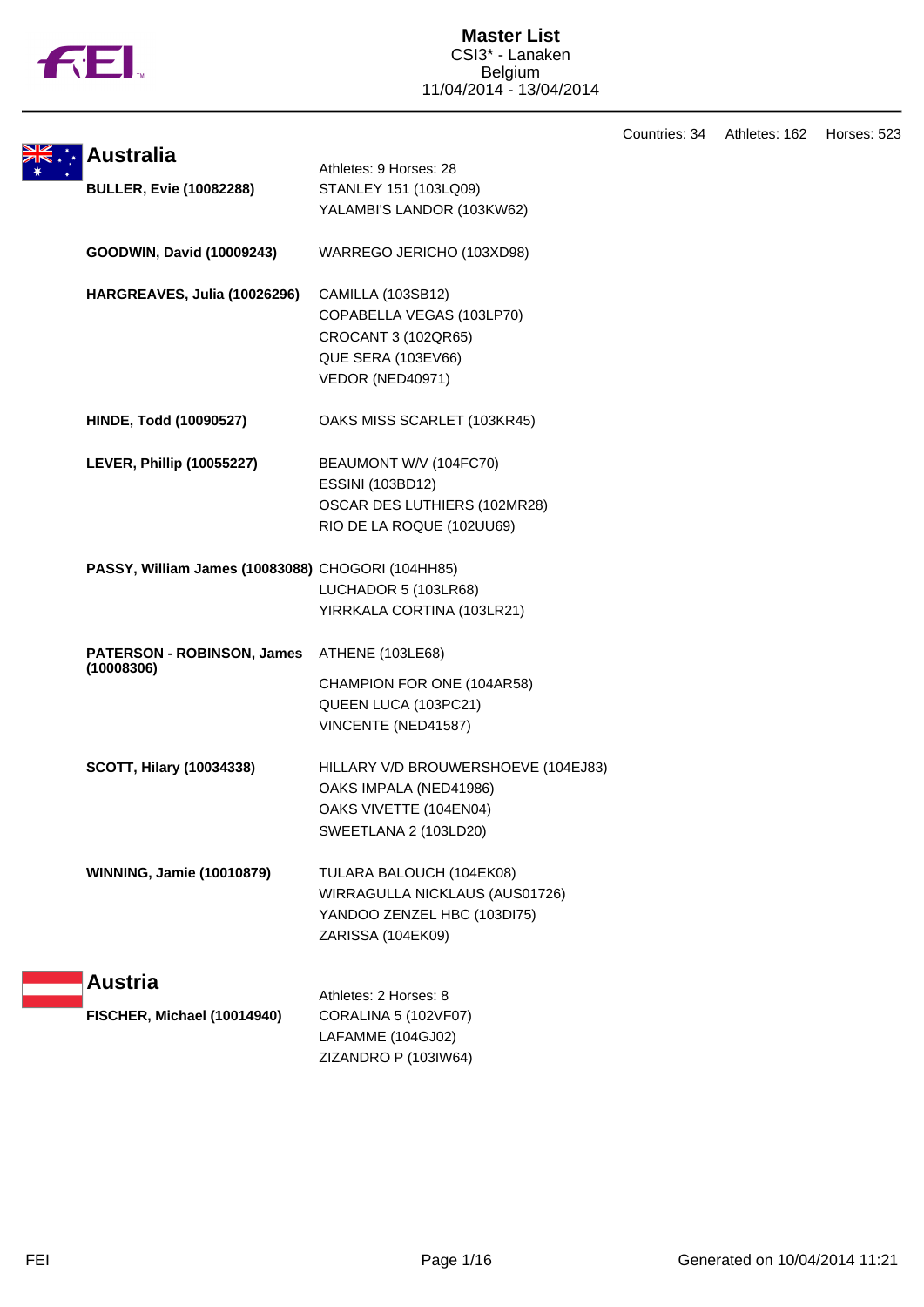

Countries: 34 Athletes: 162 Horses: 523

| <b>Australia</b>                                  | Athletes: 9 Horses: 28              |
|---------------------------------------------------|-------------------------------------|
| <b>BULLER, Evie (10082288)</b>                    | STANLEY 151 (103LQ09)               |
|                                                   | YALAMBI'S LANDOR (103KW62)          |
|                                                   |                                     |
| GOODWIN, David (10009243)                         | WARREGO JERICHO (103XD98)           |
|                                                   |                                     |
| HARGREAVES, Julia (10026296)                      | CAMILLA (103SB12)                   |
|                                                   | COPABELLA VEGAS (103LP70)           |
|                                                   | CROCANT 3 (102QR65)                 |
|                                                   | QUE SERA (103EV66)                  |
|                                                   | VEDOR (NED40971)                    |
| <b>HINDE, Todd (10090527)</b>                     | OAKS MISS SCARLET (103KR45)         |
|                                                   |                                     |
| <b>LEVER, Phillip (10055227)</b>                  | BEAUMONT W/V (104FC70)              |
|                                                   | ESSINI (103BD12)                    |
|                                                   | OSCAR DES LUTHIERS (102MR28)        |
|                                                   | RIO DE LA ROQUE (102UU69)           |
| PASSY, William James (10083088) CHOGORI (104HH85) |                                     |
|                                                   | LUCHADOR 5 (103LR68)                |
|                                                   | YIRRKALA CORTINA (103LR21)          |
|                                                   |                                     |
| PATERSON - ROBINSON, James                        | ATHENE (103LE68)                    |
| (10008306)                                        | CHAMPION FOR ONE (104AR58)          |
|                                                   | QUEEN LUCA (103PC21)                |
|                                                   | VINCENTE (NED41587)                 |
|                                                   |                                     |
| <b>SCOTT, Hilary (10034338)</b>                   | HILLARY V/D BROUWERSHOEVE (104EJ83) |
|                                                   | OAKS IMPALA (NED41986)              |
|                                                   | OAKS VIVETTE (104EN04)              |
|                                                   | SWEETLANA 2 (103LD20)               |
|                                                   |                                     |
| <b>WINNING, Jamie (10010879)</b>                  | TULARA BALOUCH (104EK08)            |
|                                                   | WIRRAGULLA NICKLAUS (AUS01726)      |
|                                                   | YANDOO ZENZEL HBC (103DI75)         |
|                                                   | ZARISSA (104EK09)                   |
|                                                   |                                     |
| <b>Austria</b>                                    | Athletes: 2 Horses: 8               |
| FISCHER, Michael (10014940)                       | CORALINA 5 (102VF07)                |
|                                                   | LAFAMME (104GJ02)                   |
|                                                   | ZIZANDRO P (103IW64)                |
|                                                   |                                     |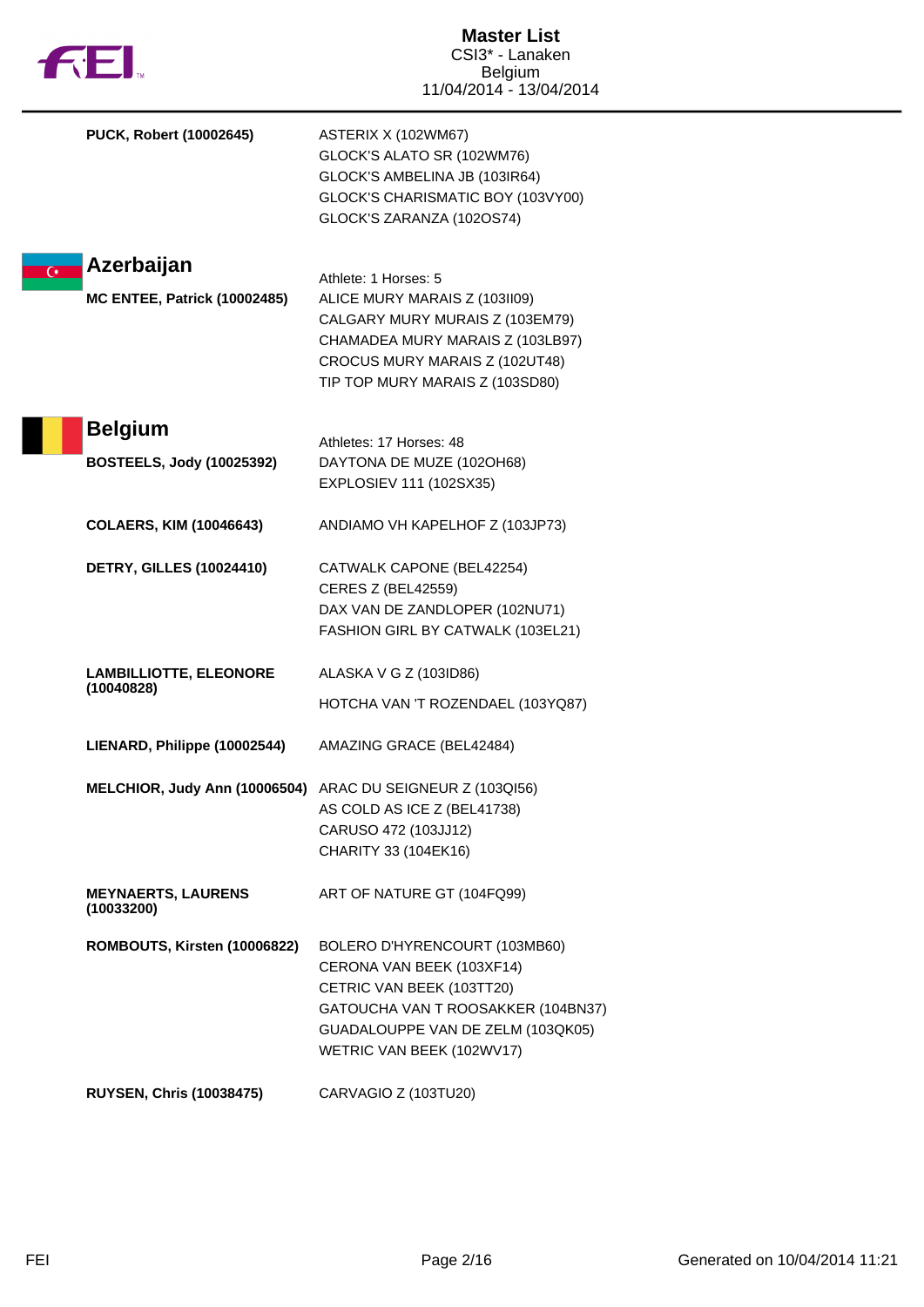| <b>FEI</b>                                                          | <b>Master List</b><br>CSI3* - Lanaken<br><b>Belgium</b><br>11/04/2014 - 13/04/2014                                                                                                                |
|---------------------------------------------------------------------|---------------------------------------------------------------------------------------------------------------------------------------------------------------------------------------------------|
| PUCK, Robert (10002645)                                             | ASTERIX X (102WM67)<br>GLOCK'S ALATO SR (102WM76)<br>GLOCK'S AMBELINA JB (103IR64)<br>GLOCK'S CHARISMATIC BOY (103VY00)<br>GLOCK'S ZARANZA (102OS74)                                              |
| Azerbaijan<br>$\overline{C}$<br><b>MC ENTEE, Patrick (10002485)</b> | Athlete: 1 Horses: 5<br>ALICE MURY MARAIS Z (103II09)<br>CALGARY MURY MURAIS Z (103EM79)<br>CHAMADEA MURY MARAIS Z (103LB97)<br>CROCUS MURY MARAIS Z (102UT48)<br>TIP TOP MURY MARAIS Z (103SD80) |
| <b>Belgium</b><br><b>BOSTEELS, Jody (10025392)</b>                  | Athletes: 17 Horses: 48<br>DAYTONA DE MUZE (102OH68)<br>EXPLOSIEV 111 (102SX35)                                                                                                                   |
| <b>COLAERS, KIM (10046643)</b>                                      | ANDIAMO VH KAPELHOF Z (103JP73)                                                                                                                                                                   |
| <b>DETRY, GILLES (10024410)</b>                                     | CATWALK CAPONE (BEL42254)<br><b>CERES Z (BEL42559)</b><br>DAX VAN DE ZANDLOPER (102NU71)<br>FASHION GIRL BY CATWALK (103EL21)                                                                     |
| <b>LAMBILLIOTTE, ELEONORE</b><br>(10040828)                         | ALASKA V G Z (103ID86)<br>HOTCHA VAN 'T ROZENDAEL (103YQ87)                                                                                                                                       |
| LIENARD, Philippe (10002544)                                        | AMAZING GRACE (BEL42484)                                                                                                                                                                          |
|                                                                     | MELCHIOR, Judy Ann (10006504) ARAC DU SEIGNEUR Z (103QI56)<br>AS COLD AS ICE Z (BEL41738)<br>CARUSO 472 (103JJ12)<br>CHARITY 33 (104EK16)                                                         |
| <b>MEYNAERTS, LAURENS</b><br>(10033200)                             | ART OF NATURE GT (104FQ99)                                                                                                                                                                        |
| ROMBOUTS, Kirsten (10006822)                                        | BOLERO D'HYRENCOURT (103MB60)<br>CERONA VAN BEEK (103XF14)<br>CETRIC VAN BEEK (103TT20)<br>GATOUCHA VAN T ROOSAKKER (104BN37)<br>GUADALOUPPE VAN DE ZELM (103QK05)<br>WETRIC VAN BEEK (102WV17)   |
| <b>RUYSEN, Chris (10038475)</b>                                     | CARVAGIO Z (103TU20)                                                                                                                                                                              |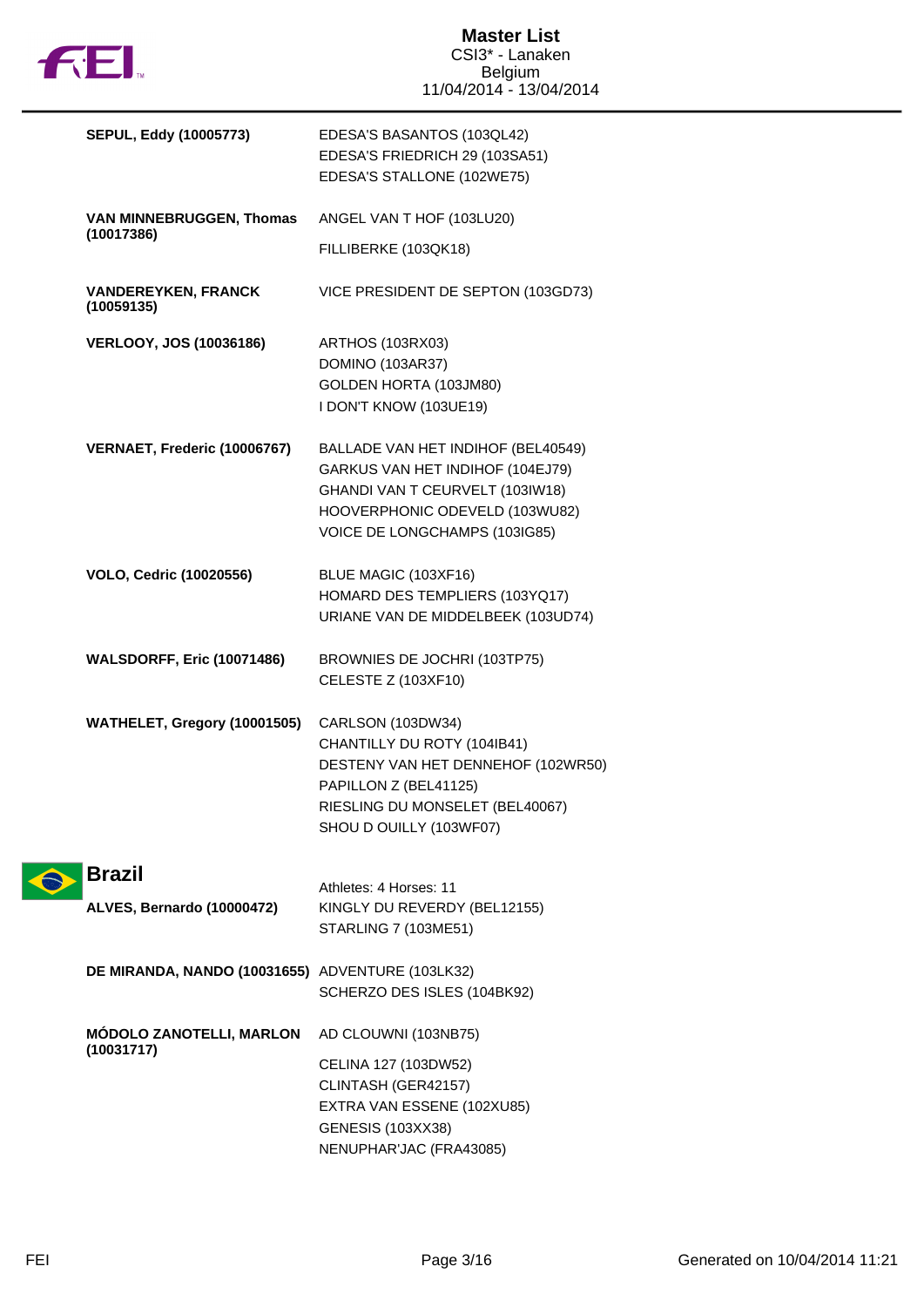

| <b>SEPUL, Eddy (10005773)</b>                    | EDESA'S BASANTOS (103QL42)<br>EDESA'S FRIEDRICH 29 (103SA51)<br>EDESA'S STALLONE (102WE75)                                                                                    |
|--------------------------------------------------|-------------------------------------------------------------------------------------------------------------------------------------------------------------------------------|
| <b>VAN MINNEBRUGGEN, Thomas</b><br>(10017386)    | ANGEL VAN T HOF (103LU20)                                                                                                                                                     |
|                                                  | FILLIBERKE (103QK18)                                                                                                                                                          |
| <b>VANDEREYKEN, FRANCK</b><br>(10059135)         | VICE PRESIDENT DE SEPTON (103GD73)                                                                                                                                            |
| <b>VERLOOY, JOS (10036186)</b>                   | ARTHOS (103RX03)<br>DOMINO (103AR37)<br>GOLDEN HORTA (103JM80)<br>I DON'T KNOW (103UE19)                                                                                      |
| VERNAET, Frederic (10006767)                     | BALLADE VAN HET INDIHOF (BEL40549)<br>GARKUS VAN HET INDIHOF (104EJ79)<br>GHANDI VAN T CEURVELT (103IW18)<br>HOOVERPHONIC ODEVELD (103WU82)<br>VOICE DE LONGCHAMPS (103IG85)  |
| <b>VOLO, Cedric (10020556)</b>                   | BLUE MAGIC (103XF16)<br>HOMARD DES TEMPLIERS (103YQ17)<br>URIANE VAN DE MIDDELBEEK (103UD74)                                                                                  |
| <b>WALSDORFF, Eric (10071486)</b>                | BROWNIES DE JOCHRI (103TP75)<br><b>CELESTE Z (103XF10)</b>                                                                                                                    |
| WATHELET, Gregory (10001505)                     | CARLSON (103DW34)<br>CHANTILLY DU ROTY (104IB41)<br>DESTENY VAN HET DENNEHOF (102WR50)<br>PAPILLON Z (BEL41125)<br>RIESLING DU MONSELET (BEL40067)<br>SHOU D OUILLY (103WF07) |
| <b>Brazil</b><br>ALVES, Bernardo (10000472)      | Athletes: 4 Horses: 11<br>KINGLY DU REVERDY (BEL12155)<br>STARLING 7 (103ME51)                                                                                                |
| DE MIRANDA, NANDO (10031655) ADVENTURE (103LK32) | SCHERZO DES ISLES (104BK92)                                                                                                                                                   |
| <b>MÓDOLO ZANOTELLI, MARLON</b><br>(10031717)    | AD CLOUWNI (103NB75)<br>CELINA 127 (103DW52)<br>CLINTASH (GER42157)<br>EXTRA VAN ESSENE (102XU85)<br><b>GENESIS (103XX38)</b>                                                 |
|                                                  | NENUPHAR'JAC (FRA43085)                                                                                                                                                       |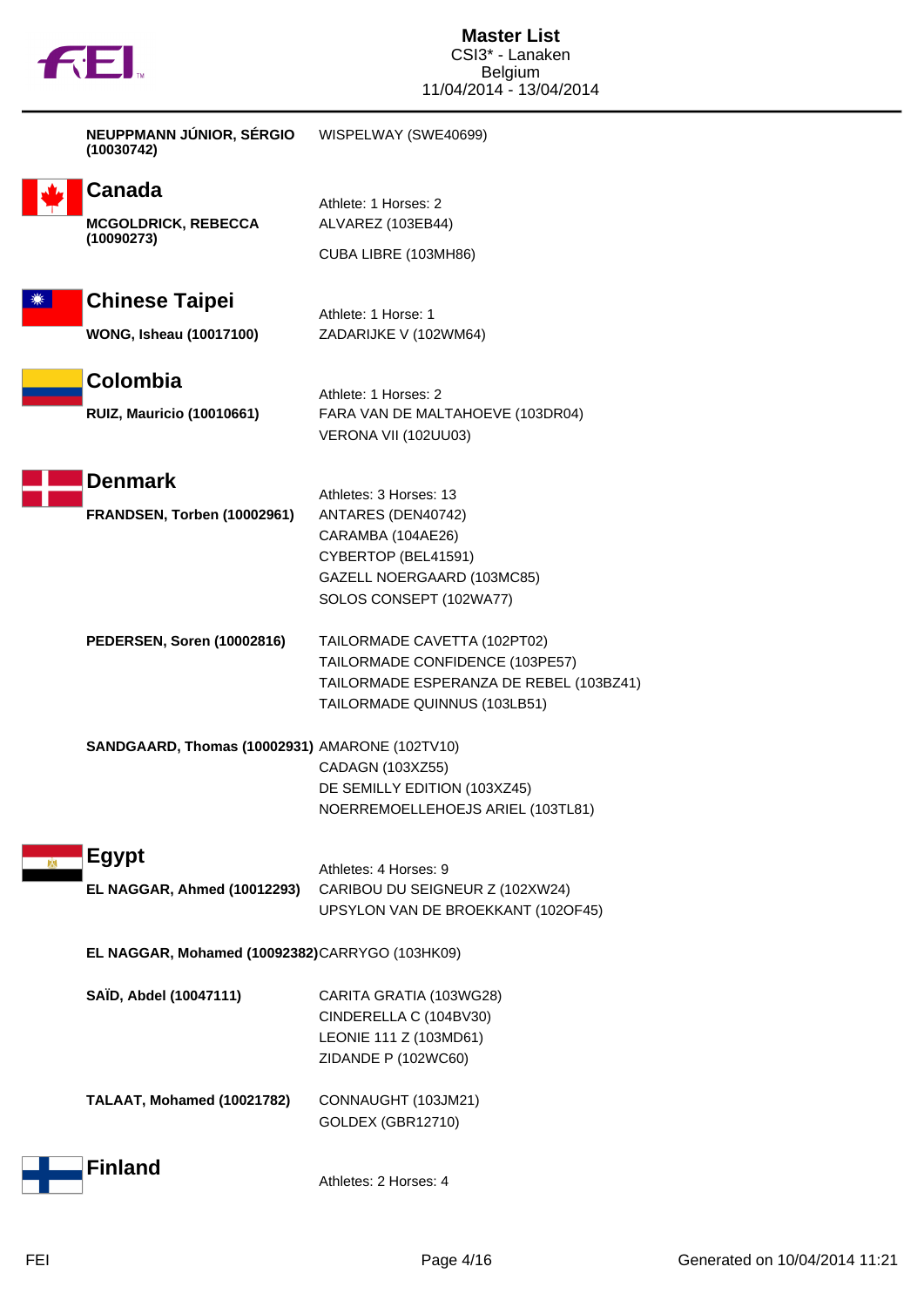

| NEUPPMANN JÚNIOR, SÉRGIO<br>(10030742)         | WISPELWAY (SWE40699)                                                    |
|------------------------------------------------|-------------------------------------------------------------------------|
| Canada                                         |                                                                         |
| <b>MCGOLDRICK, REBECCA</b>                     | Athlete: 1 Horses: 2<br>ALVAREZ (103EB44)                               |
| (10090273)                                     | CUBA LIBRE (103MH86)                                                    |
| <b>Chinese Taipei</b>                          | Athlete: 1 Horse: 1                                                     |
| <b>WONG, Isheau (10017100)</b>                 | ZADARIJKE V (102WM64)                                                   |
| Colombia                                       | Athlete: 1 Horses: 2                                                    |
| <b>RUIZ, Mauricio (10010661)</b>               | FARA VAN DE MALTAHOEVE (103DR04)<br>VERONA VII (102UU03)                |
| <b>Denmark</b>                                 | Athletes: 3 Horses: 13                                                  |
| FRANDSEN, Torben (10002961)                    | ANTARES (DEN40742)                                                      |
|                                                | CARAMBA (104AE26)<br>CYBERTOP (BEL41591)                                |
|                                                | GAZELL NOERGAARD (103MC85)                                              |
|                                                | SOLOS CONSEPT (102WA77)                                                 |
| PEDERSEN, Soren (10002816)                     | TAILORMADE CAVETTA (102PT02)                                            |
|                                                | TAILORMADE CONFIDENCE (103PE57)                                         |
|                                                | TAILORMADE ESPERANZA DE REBEL (103BZ41)<br>TAILORMADE QUINNUS (103LB51) |
| SANDGAARD, Thomas (10002931) AMARONE (102TV10) |                                                                         |
|                                                | CADAGN (103XZ55)<br>DE SEMILLY EDITION (103XZ45)                        |
|                                                | NOERREMOELLEHOEJS ARIEL (103TL81)                                       |
| <b>Egypt</b>                                   | Athletes: 4 Horses: 9                                                   |
| EL NAGGAR, Ahmed (10012293)                    | CARIBOU DU SEIGNEUR Z (102XW24)                                         |
|                                                | UPSYLON VAN DE BROEKKANT (102OF45)                                      |
| EL NAGGAR, Mohamed (10092382)CARRYGO (103HK09) |                                                                         |
| SAÏD, Abdel (10047111)                         | CARITA GRATIA (103WG28)                                                 |
|                                                | CINDERELLA C (104BV30)                                                  |
|                                                | LEONIE 111 Z (103MD61)<br>ZIDANDE P (102WC60)                           |
| TALAAT, Mohamed (10021782)                     | CONNAUGHT (103JM21)                                                     |
|                                                | GOLDEX (GBR12710)                                                       |
| <b>Finland</b>                                 | Athletes: 2 Horses: 4                                                   |
|                                                |                                                                         |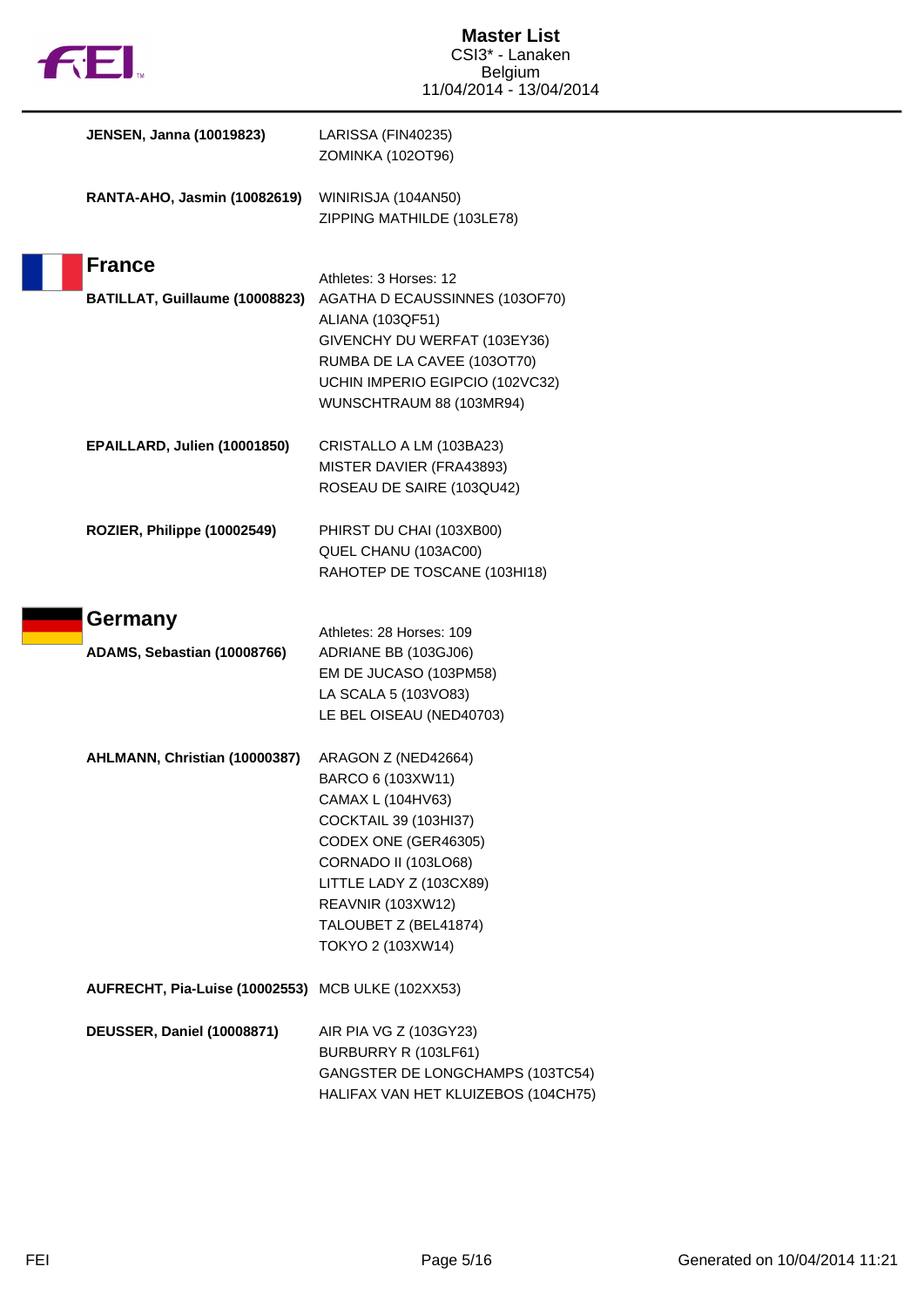

 $\begin{array}{c} \hline \end{array}$ 

| <b>JENSEN, Janna (10019823)</b>                   | LARISSA (FIN40235)<br>ZOMINKA (102OT96)                                                                                                                                                                                                            |
|---------------------------------------------------|----------------------------------------------------------------------------------------------------------------------------------------------------------------------------------------------------------------------------------------------------|
| RANTA-AHO, Jasmin (10082619)                      | WINIRISJA (104AN50)<br>ZIPPING MATHILDE (103LE78)                                                                                                                                                                                                  |
| <b>France</b>                                     | Athletes: 3 Horses: 12                                                                                                                                                                                                                             |
| BATILLAT, Guillaume (10008823)                    | AGATHA D ECAUSSINNES (103OF70)<br>ALIANA (103QF51)<br>GIVENCHY DU WERFAT (103EY36)<br>RUMBA DE LA CAVEE (103OT70)<br>UCHIN IMPERIO EGIPCIO (102VC32)<br>WUNSCHTRAUM 88 (103MR94)                                                                   |
| EPAILLARD, Julien (10001850)                      | CRISTALLO A LM (103BA23)<br>MISTER DAVIER (FRA43893)<br>ROSEAU DE SAIRE (103QU42)                                                                                                                                                                  |
| ROZIER, Philippe (10002549)                       | PHIRST DU CHAI (103XB00)<br>QUEL CHANU (103AC00)<br>RAHOTEP DE TOSCANE (103HI18)                                                                                                                                                                   |
| Germany                                           |                                                                                                                                                                                                                                                    |
| ADAMS, Sebastian (10008766)                       | Athletes: 28 Horses: 109<br>ADRIANE BB (103GJ06)<br>EM DE JUCASO (103PM58)<br>LA SCALA 5 (103VO83)<br>LE BEL OISEAU (NED40703)                                                                                                                     |
| AHLMANN, Christian (10000387)                     | ARAGON Z (NED42664)<br>BARCO 6 (103XW11)<br>CAMAX L (104HV63)<br><b>COCKTAIL 39 (103HI37)</b><br>CODEX ONE (GER46305)<br><b>CORNADO II (103LO68)</b><br>LITTLE LADY Z (103CX89)<br>REAVNIR (103XW12)<br>TALOUBET Z (BEL41874)<br>TOKYO 2 (103XW14) |
| AUFRECHT, Pia-Luise (10002553) MCB ULKE (102XX53) |                                                                                                                                                                                                                                                    |
| DEUSSER, Daniel (10008871)                        | AIR PIA VG Z (103GY23)<br>BURBURRY R (103LF61)<br>GANGSTER DE LONGCHAMPS (103TC54)<br>HALIFAX VAN HET KLUIZEBOS (104CH75)                                                                                                                          |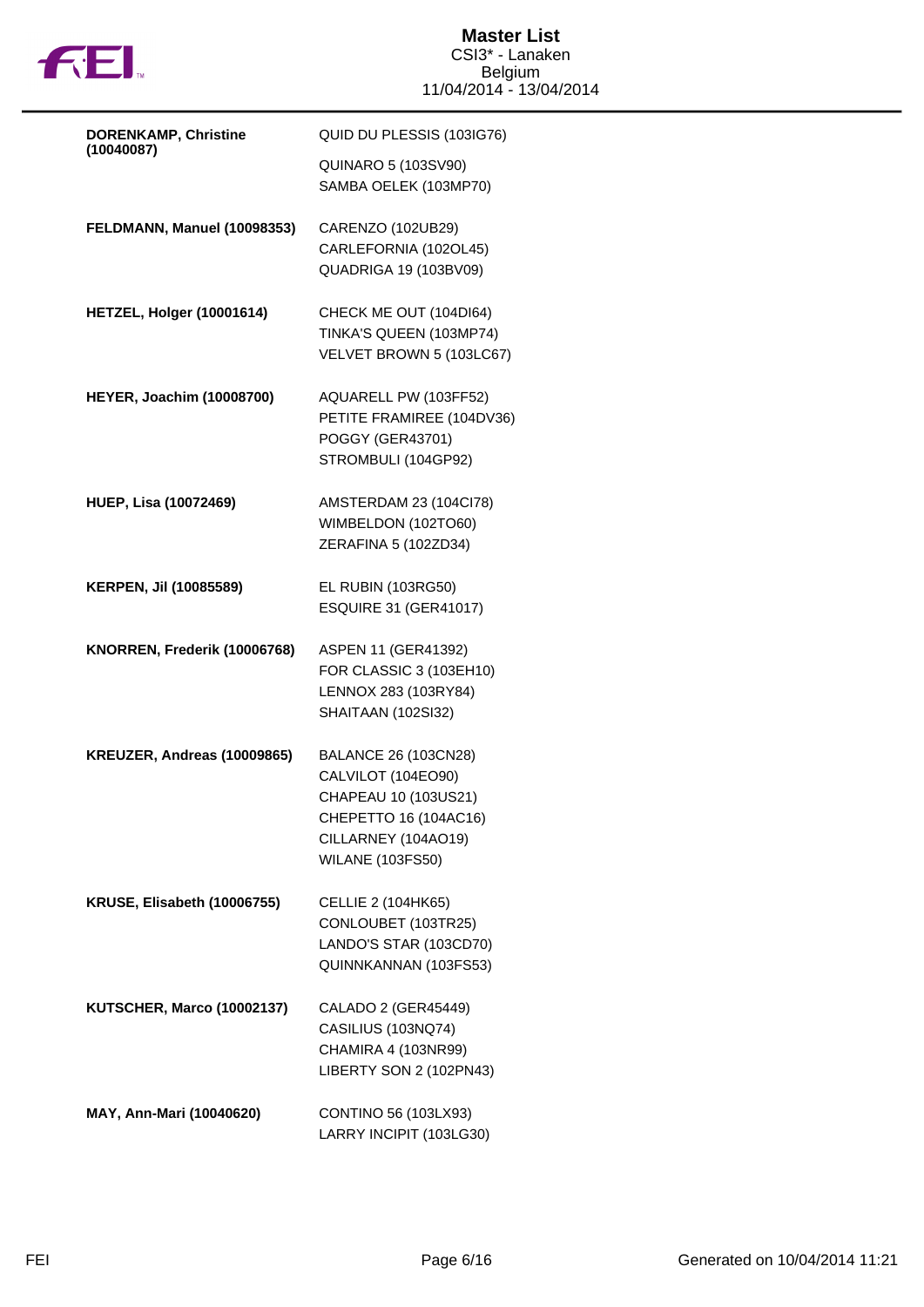

| <b>DORENKAMP, Christine</b>      | QUID DU PLESSIS (103IG76)                                                                                                                     |
|----------------------------------|-----------------------------------------------------------------------------------------------------------------------------------------------|
| (10040087)                       | QUINARO 5 (103SV90)<br>SAMBA OELEK (103MP70)                                                                                                  |
| FELDMANN, Manuel (10098353)      | CARENZO (102UB29)<br>CARLEFORNIA (102OL45)<br><b>QUADRIGA 19 (103BV09)</b>                                                                    |
| HETZEL, Holger (10001614)        | CHECK ME OUT (104DI64)<br>TINKA'S QUEEN (103MP74)<br>VELVET BROWN 5 (103LC67)                                                                 |
| <b>HEYER, Joachim (10008700)</b> | AQUARELL PW (103FF52)<br>PETITE FRAMIREE (104DV36)<br>POGGY (GER43701)<br>STROMBULI (104GP92)                                                 |
| <b>HUEP, Lisa (10072469)</b>     | AMSTERDAM 23 (104Cl78)<br>WIMBELDON (102TO60)<br>ZERAFINA 5 (102ZD34)                                                                         |
| KERPEN, Jil (10085589)           | EL RUBIN (103RG50)<br><b>ESQUIRE 31 (GER41017)</b>                                                                                            |
| KNORREN, Frederik (10006768)     | ASPEN 11 (GER41392)<br>FOR CLASSIC 3 (103EH10)                                                                                                |
|                                  | LENNOX 283 (103RY84)<br><b>SHAITAAN (102SI32)</b>                                                                                             |
| KREUZER, Andreas (10009865)      | BALANCE 26 (103CN28)<br>CALVILOT (104EO90)<br>CHAPEAU 10 (103US21)<br>CHEPETTO 16 (104AC16)<br>CILLARNEY (104AO19)<br><b>WILANE (103FS50)</b> |
| KRUSE, Elisabeth (10006755)      | <b>CELLIE 2 (104HK65)</b><br>CONLOUBET (103TR25)<br>LANDO'S STAR (103CD70)<br>QUINNKANNAN (103FS53)                                           |
| KUTSCHER, Marco (10002137)       | CALADO 2 (GER45449)<br>CASILIUS (103NQ74)<br>CHAMIRA 4 (103NR99)<br>LIBERTY SON 2 (102PN43)                                                   |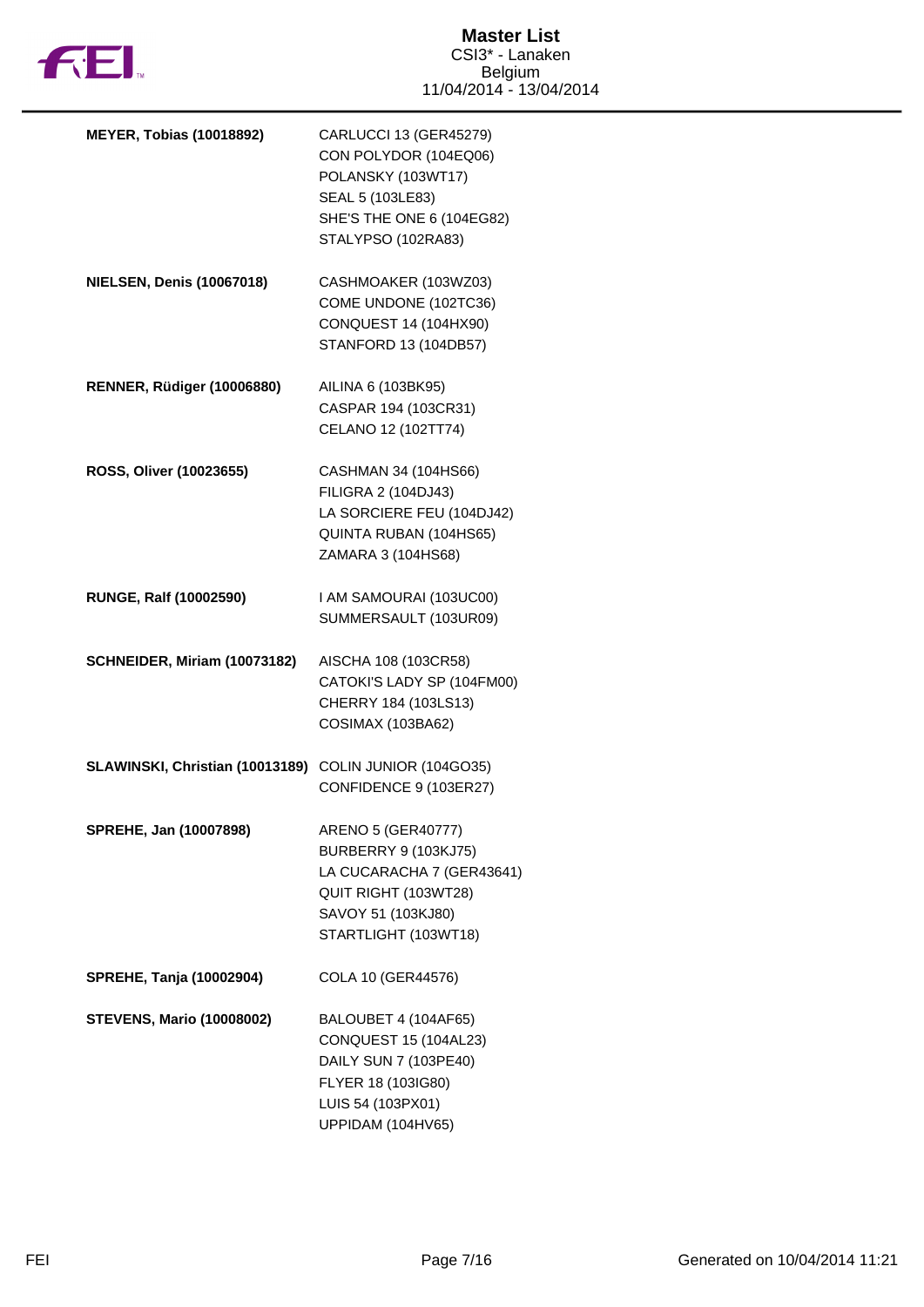

| <b>MEYER, Tobias (10018892)</b>  | CARLUCCI 13 (GER45279)<br>CON POLYDOR (104EQ06)<br>POLANSKY (103WT17)<br>SEAL 5 (103LE83)<br>SHE'S THE ONE 6 (104EG82)<br>STALYPSO (102RA83)         |
|----------------------------------|------------------------------------------------------------------------------------------------------------------------------------------------------|
| <b>NIELSEN, Denis (10067018)</b> | CASHMOAKER (103WZ03)<br>COME UNDONE (102TC36)<br>CONQUEST 14 (104HX90)<br>STANFORD 13 (104DB57)                                                      |
| RENNER, Rüdiger (10006880)       | AILINA 6 (103BK95)<br>CASPAR 194 (103CR31)<br>CELANO 12 (102TT74)                                                                                    |
| ROSS, Oliver (10023655)          | CASHMAN 34 (104HS66)<br>FILIGRA 2 (104DJ43)<br>LA SORCIERE FEU (104DJ42)<br>QUINTA RUBAN (104HS65)<br>ZAMARA 3 (104HS68)                             |
| <b>RUNGE, Ralf (10002590)</b>    | I AM SAMOURAI (103UC00)<br>SUMMERSAULT (103UR09)                                                                                                     |
| SCHNEIDER, Miriam (10073182)     | AISCHA 108 (103CR58)<br>CATOKI'S LADY SP (104FM00)<br>CHERRY 184 (103LS13)<br>COSIMAX (103BA62)                                                      |
| SLAWINSKI, Christian (10013189)  | COLIN JUNIOR (104GO35)<br>CONFIDENCE 9 (103ER27)                                                                                                     |
| SPREHE, Jan (10007898)           | ARENO 5 (GER40777)<br><b>BURBERRY 9 (103KJ75)</b><br>LA CUCARACHA 7 (GER43641)<br>QUIT RIGHT (103WT28)<br>SAVOY 51 (103KJ80)<br>STARTLIGHT (103WT18) |
| <b>SPREHE, Tanja (10002904)</b>  | COLA 10 (GER44576)                                                                                                                                   |
| <b>STEVENS, Mario (10008002)</b> | BALOUBET 4 (104AF65)<br>CONQUEST 15 (104AL23)<br>DAILY SUN 7 (103PE40)<br>FLYER 18 (103IG80)<br>LUIS 54 (103PX01)<br>UPPIDAM (104HV65)               |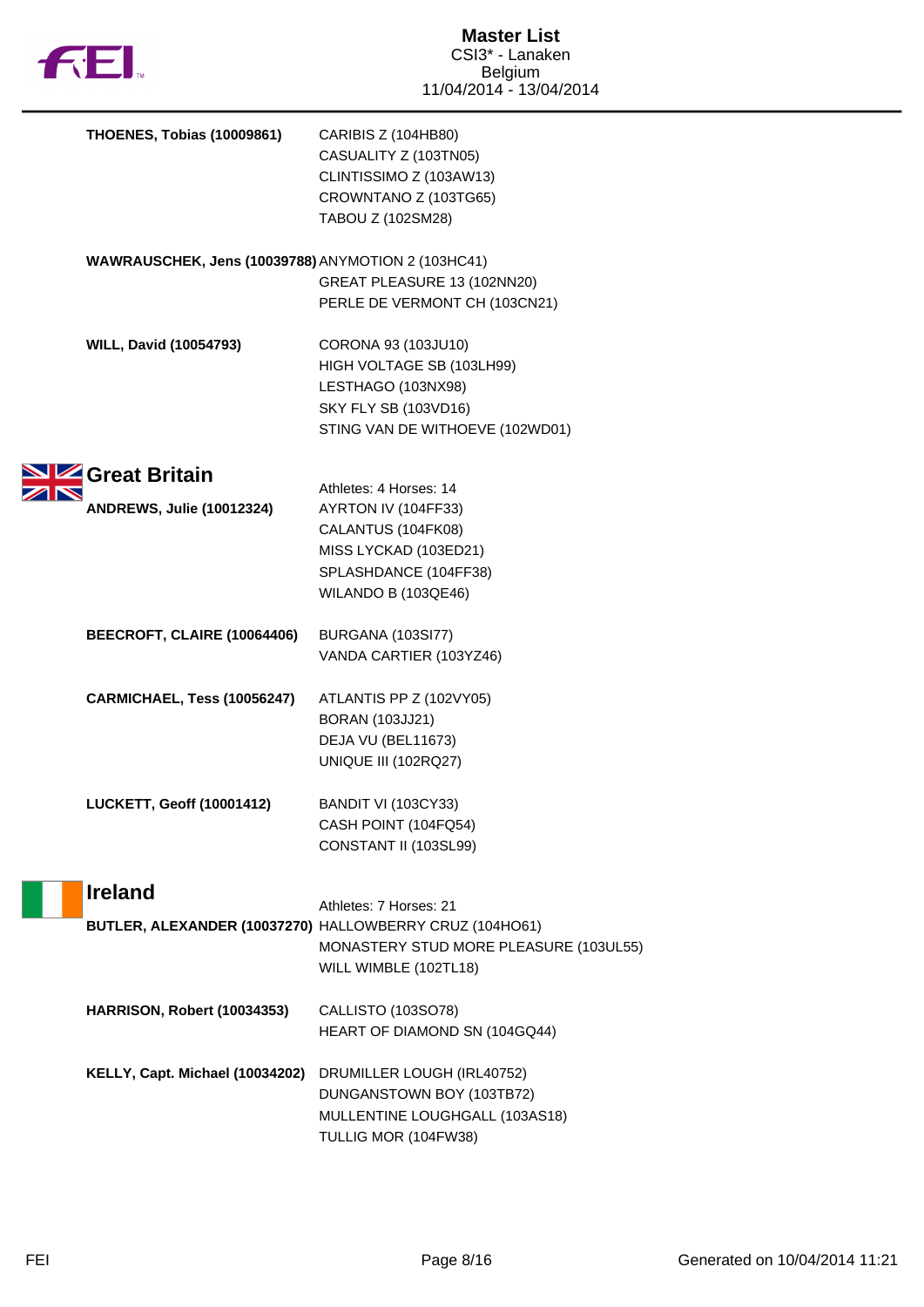

N

| <b>THOENES, Tobias (10009861)</b>                       | CARIBIS Z (104HB80)<br>CASUALITY Z (103TN05)<br>CLINTISSIMO Z (103AW13)                                           |
|---------------------------------------------------------|-------------------------------------------------------------------------------------------------------------------|
|                                                         | CROWNTANO Z (103TG65)<br>TABOU Z (102SM28)                                                                        |
| WAWRAUSCHEK, Jens (10039788) ANYMOTION 2 (103HC41)      | GREAT PLEASURE 13 (102NN20)                                                                                       |
|                                                         | PERLE DE VERMONT CH (103CN21)                                                                                     |
| <b>WILL, David (10054793)</b>                           | CORONA 93 (103JU10)<br>HIGH VOLTAGE SB (103LH99)<br>LESTHAGO (103NX98)<br><b>SKY FLY SB (103VD16)</b>             |
|                                                         | STING VAN DE WITHOEVE (102WD01)                                                                                   |
| Great Britain<br><b>ANDREWS, Julie (10012324)</b>       | Athletes: 4 Horses: 14<br>AYRTON IV (104FF33)<br>CALANTUS (104FK08)<br>MISS LYCKAD (103ED21)                      |
|                                                         | SPLASHDANCE (104FF38)<br>WILANDO B (103QE46)                                                                      |
| BEECROFT, CLAIRE (10064406)                             | <b>BURGANA (103SI77)</b><br>VANDA CARTIER (103YZ46)                                                               |
| CARMICHAEL, Tess (10056247)                             | ATLANTIS PP Z (102VY05)<br><b>BORAN (103JJ21)</b><br>DEJA VU (BEL11673)<br><b>UNIQUE III (102RQ27)</b>            |
| <b>LUCKETT, Geoff (10001412)</b>                        | <b>BANDIT VI (103CY33)</b><br>CASH POINT (104FQ54)<br>CONSTANT II (103SL99)                                       |
| <b>Ireland</b>                                          | Athletes: 7 Horses: 21                                                                                            |
| BUTLER, ALEXANDER (10037270) HALLOWBERRY CRUZ (104HO61) | MONASTERY STUD MORE PLEASURE (103UL55)<br>WILL WIMBLE (102TL18)                                                   |
| HARRISON, Robert (10034353)                             | CALLISTO (103SO78)<br>HEART OF DIAMOND SN (104GQ44)                                                               |
| KELLY, Capt. Michael (10034202)                         | DRUMILLER LOUGH (IRL40752)<br>DUNGANSTOWN BOY (103TB72)<br>MULLENTINE LOUGHGALL (103AS18)<br>TULLIG MOR (104FW38) |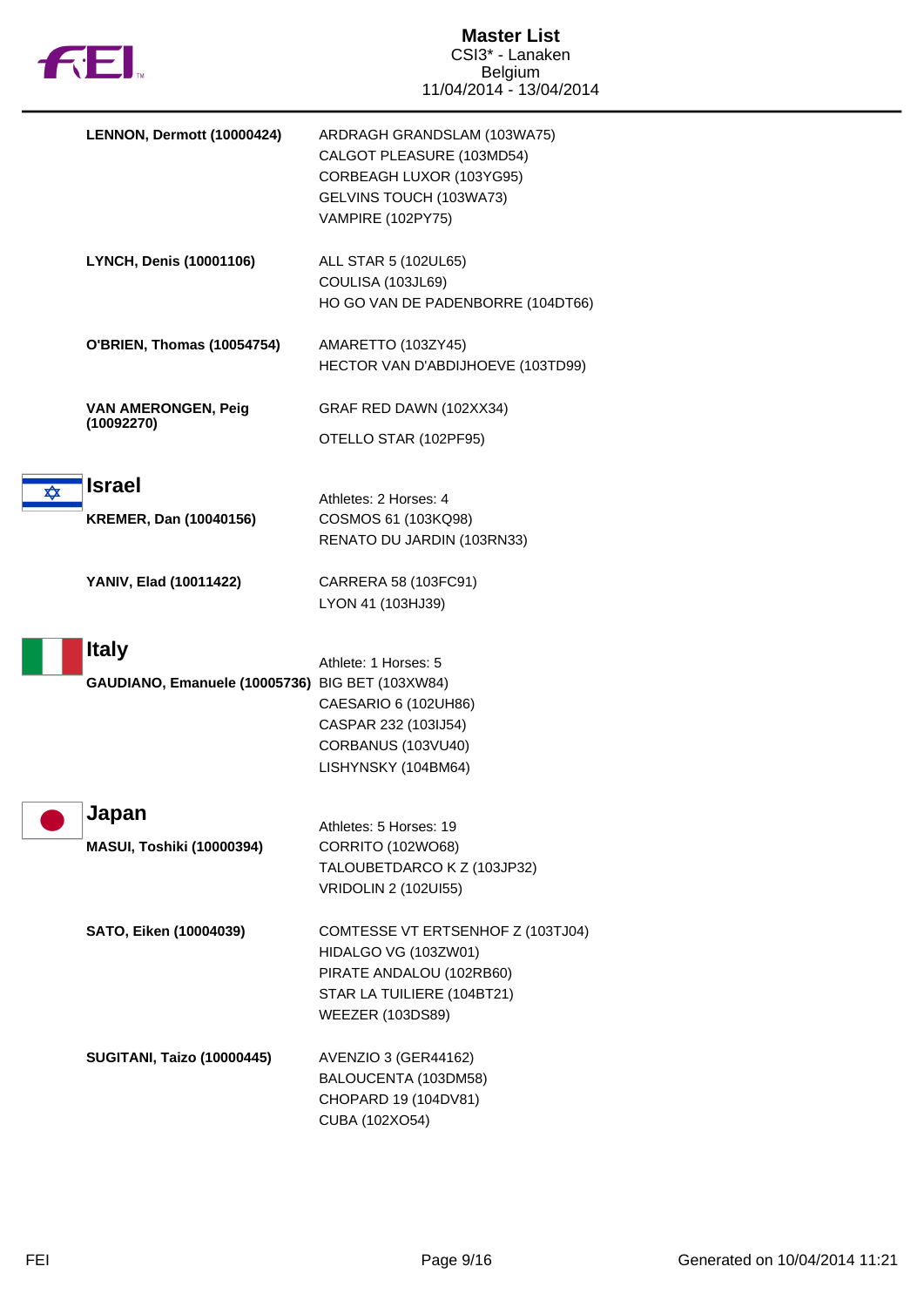

|            | LENNON, Dermott (10000424)                                      | ARDRAGH GRANDSLAM (103WA75)<br>CALGOT PLEASURE (103MD54)<br>CORBEAGH LUXOR (103YG95)<br>GELVINS TOUCH (103WA73)<br><b>VAMPIRE (102PY75)</b>    |
|------------|-----------------------------------------------------------------|------------------------------------------------------------------------------------------------------------------------------------------------|
|            | <b>LYNCH, Denis (10001106)</b>                                  | ALL STAR 5 (102UL65)<br>COULISA (103JL69)<br>HO GO VAN DE PADENBORRE (104DT66)                                                                 |
|            | O'BRIEN, Thomas (10054754)                                      | AMARETTO (103ZY45)<br>HECTOR VAN D'ABDIJHOEVE (103TD99)                                                                                        |
|            | <b>VAN AMERONGEN, Peig</b><br>(10092270)                        | GRAF RED DAWN (102XX34)<br>OTELLO STAR (102PF95)                                                                                               |
| $\bigstar$ | <b>Israel</b><br><b>KREMER, Dan (10040156)</b>                  | Athletes: 2 Horses: 4<br>COSMOS 61 (103KQ98)<br>RENATO DU JARDIN (103RN33)                                                                     |
|            | YANIV, Elad (10011422)                                          | CARRERA 58 (103FC91)<br>LYON 41 (103HJ39)                                                                                                      |
|            | <b>Italy</b><br>GAUDIANO, Emanuele (10005736) BIG BET (103XW84) | Athlete: 1 Horses: 5<br>CAESARIO 6 (102UH86)<br>CASPAR 232 (103IJ54)<br>CORBANUS (103VU40)<br>LISHYNSKY (104BM64)                              |
|            | Japan<br><b>MASUI, Toshiki (10000394)</b>                       | Athletes: 5 Horses: 19<br>CORRITO (102WO68)<br>TALOUBETDARCO K Z (103JP32)<br><b>VRIDOLIN 2 (102UI55)</b>                                      |
|            | SATO, Eiken (10004039)                                          | COMTESSE VT ERTSENHOF Z (103TJ04)<br>HIDALGO VG (103ZW01)<br>PIRATE ANDALOU (102RB60)<br>STAR LA TUILIERE (104BT21)<br><b>WEEZER (103DS89)</b> |
|            | <b>SUGITANI, Taizo (10000445)</b>                               | AVENZIO 3 (GER44162)<br>BALOUCENTA (103DM58)<br>CHOPARD 19 (104DV81)<br>CUBA (102XO54)                                                         |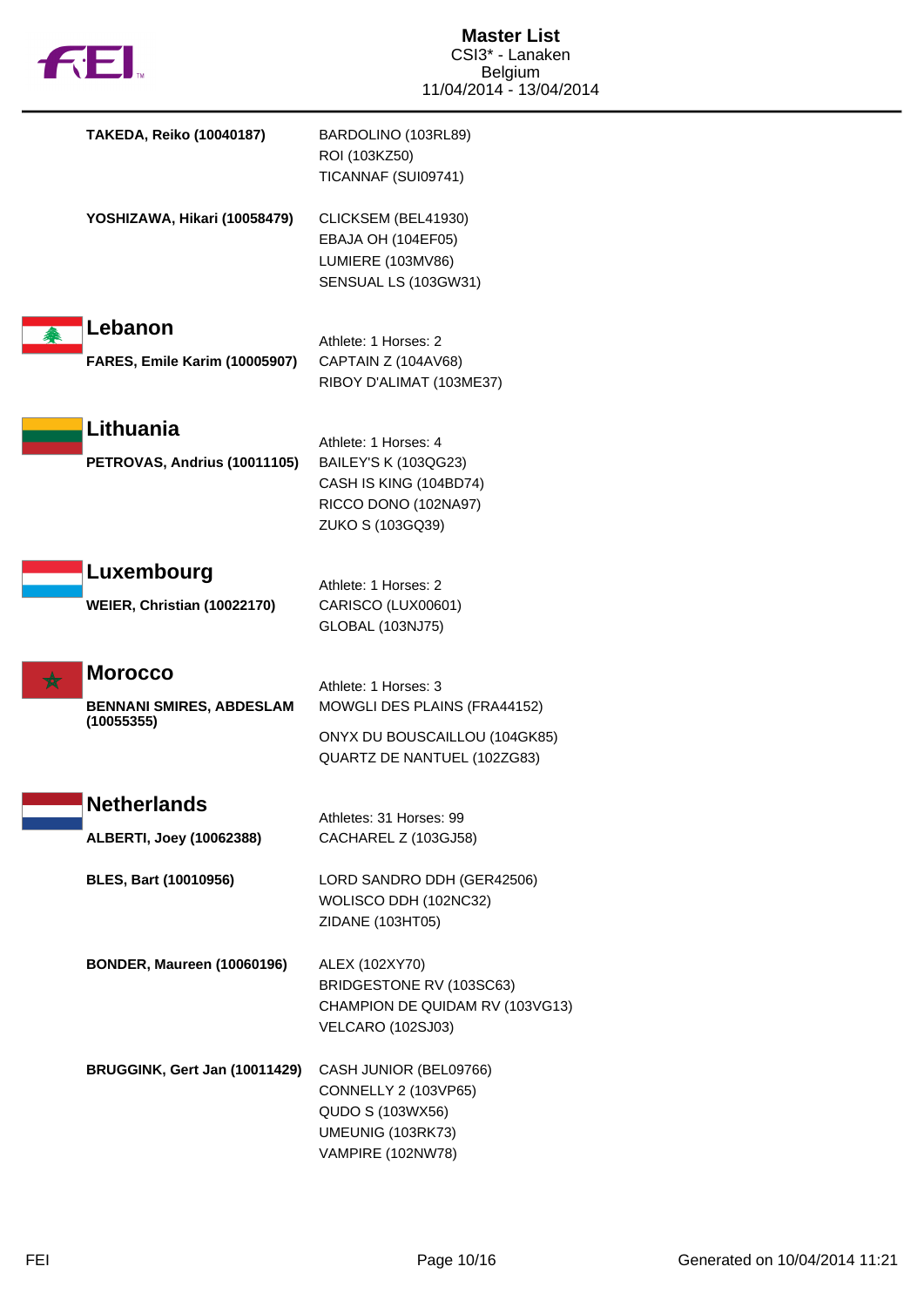

| TAKEDA, Reiko (10040187)                                        | BARDOLINO (103RL89)<br>ROI (103KZ50)<br>TICANNAF (SUI09741)                                                          |
|-----------------------------------------------------------------|----------------------------------------------------------------------------------------------------------------------|
| YOSHIZAWA, Hikari (10058479)                                    | CLICKSEM (BEL41930)<br>EBAJA OH (104EF05)<br>LUMIERE (103MV86)<br>SENSUAL LS (103GW31)                               |
| Lebanon<br>个<br><b>FARES, Emile Karim (10005907)</b>            | Athlete: 1 Horses: 2<br>CAPTAIN Z (104AV68)<br>RIBOY D'ALIMAT (103ME37)                                              |
| Lithuania<br>PETROVAS, Andrius (10011105)                       | Athlete: 1 Horses: 4<br>BAILEY'S K (103QG23)<br>CASH IS KING (104BD74)<br>RICCO DONO (102NA97)<br>ZUKO S (103GQ39)   |
| Luxembourg<br>WEIER, Christian (10022170)                       | Athlete: 1 Horses: 2<br>CARISCO (LUX00601)<br>GLOBAL (103NJ75)                                                       |
| <b>Morocco</b><br><b>BENNANI SMIRES, ABDESLAM</b><br>(10055355) | Athlete: 1 Horses: 3<br>MOWGLI DES PLAINS (FRA44152)<br>ONYX DU BOUSCAILLOU (104GK85)<br>QUARTZ DE NANTUEL (102ZG83) |
| <b>Netherlands</b><br><b>ALBERTI, Joey (10062388)</b>           | Athletes: 31 Horses: 99<br>CACHAREL Z (103GJ58)                                                                      |
| <b>BLES, Bart (10010956)</b>                                    | LORD SANDRO DDH (GER42506)<br>WOLISCO DDH (102NC32)<br>ZIDANE (103HT05)                                              |
| BONDER, Maureen (10060196)                                      | ALEX (102XY70)<br>BRIDGESTONE RV (103SC63)<br>CHAMPION DE QUIDAM RV (103VG13)<br><b>VELCARO (102SJ03)</b>            |
| BRUGGINK, Gert Jan (10011429)                                   | CASH JUNIOR (BEL09766)<br>CONNELLY 2 (103VP65)<br>QUDO S (103WX56)<br>UMEUNIG (103RK73)<br>VAMPIRE (102NW78)         |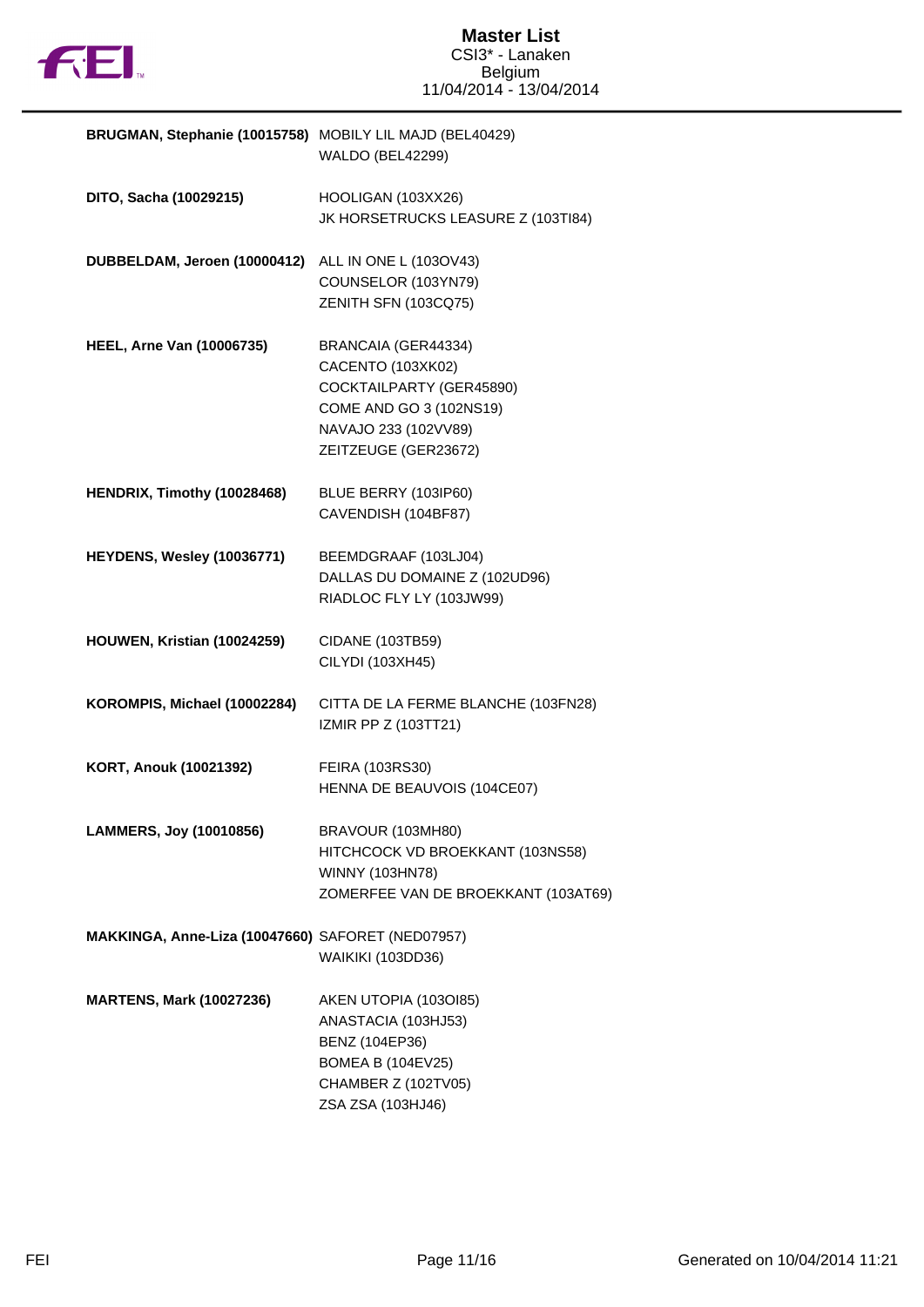

| BRUGMAN, Stephanie (10015758) MOBILY LIL MAJD (BEL40429) | WALDO (BEL42299)                                                                                                                                |
|----------------------------------------------------------|-------------------------------------------------------------------------------------------------------------------------------------------------|
| DITO, Sacha (10029215)                                   | HOOLIGAN (103XX26)<br>JK HORSETRUCKS LEASURE Z (103TI84)                                                                                        |
| DUBBELDAM, Jeroen (10000412)                             | ALL IN ONE L (103OV43)<br>COUNSELOR (103YN79)<br>ZENITH SFN (103CQ75)                                                                           |
| <b>HEEL, Arne Van (10006735)</b>                         | BRANCAIA (GER44334)<br>CACENTO (103XK02)<br>COCKTAILPARTY (GER45890)<br>COME AND GO 3 (102NS19)<br>NAVAJO 233 (102VV89)<br>ZEITZEUGE (GER23672) |
| HENDRIX, Timothy (10028468)                              | BLUE BERRY (103IP60)<br>CAVENDISH (104BF87)                                                                                                     |
| HEYDENS, Wesley (10036771)                               | BEEMDGRAAF (103LJ04)<br>DALLAS DU DOMAINE Z (102UD96)<br>RIADLOC FLY LY (103JW99)                                                               |
| HOUWEN, Kristian (10024259)                              | CIDANE (103TB59)<br>CILYDI (103XH45)                                                                                                            |
| KOROMPIS, Michael (10002284)                             | CITTA DE LA FERME BLANCHE (103FN28)<br>IZMIR PP Z (103TT21)                                                                                     |
| <b>KORT, Anouk (10021392)</b>                            | FEIRA (103RS30)<br>HENNA DE BEAUVOIS (104CE07)                                                                                                  |
| LAMMERS, Joy (10010856)                                  | BRAVOUR (103MH80)<br>HITCHCOCK VD BROEKKANT (103NS58)<br>WINNY (103HN78)<br>ZOMERFEE VAN DE BROEKKANT (103AT69)                                 |
| MAKKINGA, Anne-Liza (10047660) SAFORET (NED07957)        | <b>WAIKIKI (103DD36)</b>                                                                                                                        |
| <b>MARTENS, Mark (10027236)</b>                          | AKEN UTOPIA (1030185)<br>ANASTACIA (103HJ53)<br>BENZ (104EP36)<br><b>BOMEA B (104EV25)</b><br>CHAMBER Z (102TV05)<br>ZSA ZSA (103HJ46)          |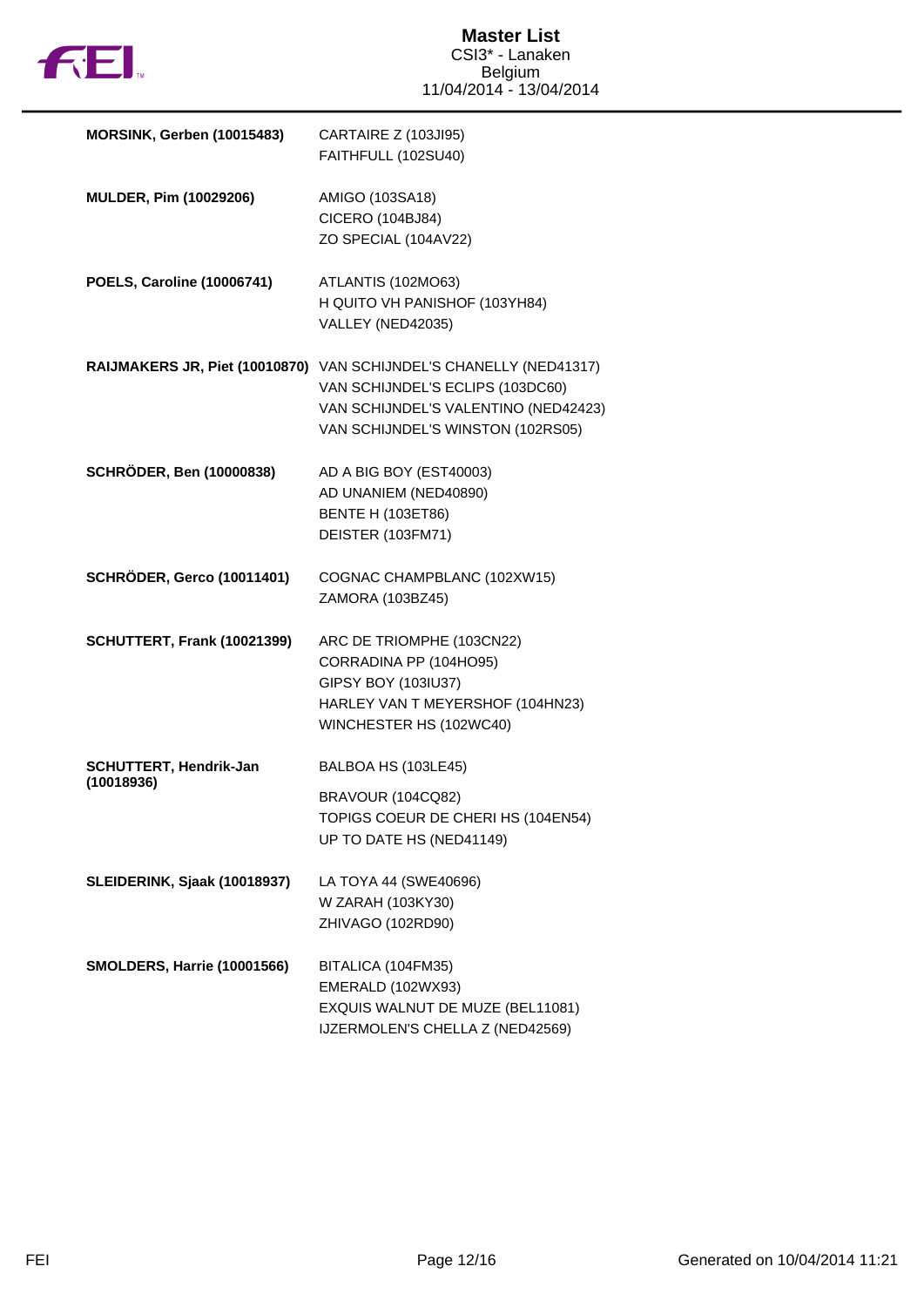

| MORSINK, Gerben (10015483)           | CARTAIRE Z (103JI95)<br>FAITHFULL (102SU40)                                                                                                                                         |
|--------------------------------------|-------------------------------------------------------------------------------------------------------------------------------------------------------------------------------------|
| MULDER, Pim (10029206)               | AMIGO (103SA18)<br>CICERO (104BJ84)<br>ZO SPECIAL (104AV22)                                                                                                                         |
| <b>POELS, Caroline (10006741)</b>    | ATLANTIS (102MO63)<br>H QUITO VH PANISHOF (103YH84)<br>VALLEY (NED42035)                                                                                                            |
|                                      | RAIJMAKERS JR, Piet (10010870) VAN SCHIJNDEL'S CHANELLY (NED41317)<br>VAN SCHIJNDEL'S ECLIPS (103DC60)<br>VAN SCHIJNDEL'S VALENTINO (NED42423)<br>VAN SCHIJNDEL'S WINSTON (102RS05) |
| <b>SCHRÖDER, Ben (10000838)</b>      | AD A BIG BOY (EST40003)<br>AD UNANIEM (NED40890)<br><b>BENTE H (103ET86)</b><br>DEISTER (103FM71)                                                                                   |
| <b>SCHRÖDER, Gerco (10011401)</b>    | COGNAC CHAMPBLANC (102XW15)<br>ZAMORA (103BZ45)                                                                                                                                     |
| SCHUTTERT, Frank (10021399)          | ARC DE TRIOMPHE (103CN22)<br>CORRADINA PP (104HO95)<br>GIPSY BOY (103IU37)<br>HARLEY VAN T MEYERSHOF (104HN23)<br>WINCHESTER HS (102WC40)                                           |
| SCHUTTERT, Hendrik-Jan<br>(10018936) | BALBOA HS (103LE45)<br>BRAVOUR (104CQ82)<br>TOPIGS COEUR DE CHERI HS (104EN54)<br>UP TO DATE HS (NED41149)                                                                          |
| SLEIDERINK, Sjaak (10018937)         | LA TOYA 44 (SWE40696)<br>W ZARAH (103KY30)<br>ZHIVAGO (102RD90)                                                                                                                     |
| <b>SMOLDERS, Harrie (10001566)</b>   | BITALICA (104FM35)<br>EMERALD (102WX93)<br>EXQUIS WALNUT DE MUZE (BEL11081)<br>IJZERMOLEN'S CHELLA Z (NED42569)                                                                     |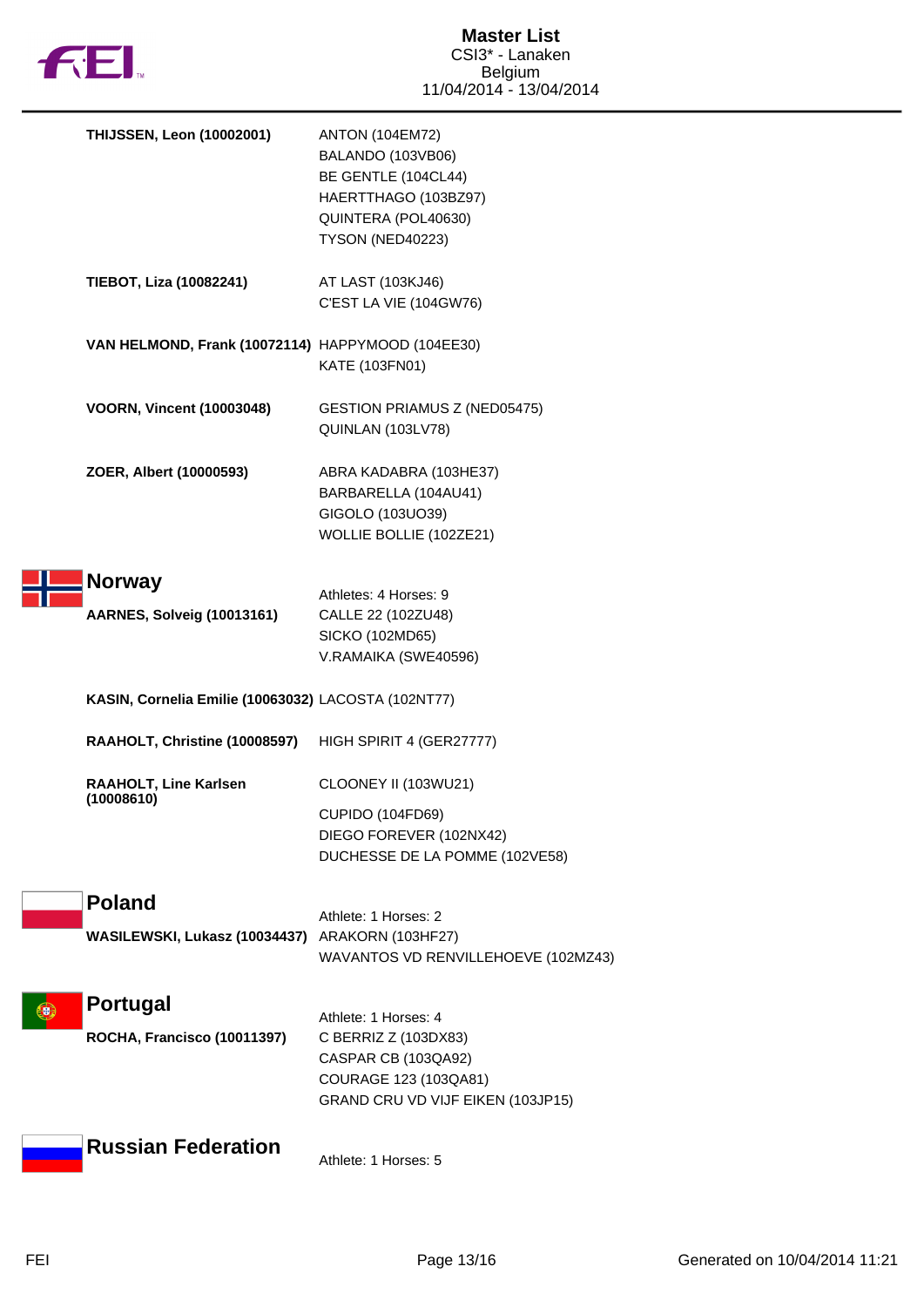

| <b>THIJSSEN, Leon (10002001)</b>                                 | <b>ANTON (104EM72)</b><br>BALANDO (103VB06)<br>BE GENTLE (104CL44)<br>HAERTTHAGO (103BZ97)<br>QUINTERA (POL40630)<br>TYSON (NED40223) |
|------------------------------------------------------------------|---------------------------------------------------------------------------------------------------------------------------------------|
| TIEBOT, Liza (10082241)                                          | AT LAST (103KJ46)<br>C'EST LA VIE (104GW76)                                                                                           |
| VAN HELMOND, Frank (10072114) HAPPYMOOD (104EE30)                | KATE (103FN01)                                                                                                                        |
| <b>VOORN, Vincent (10003048)</b>                                 | <b>GESTION PRIAMUS Z (NED05475)</b><br>QUINLAN (103LV78)                                                                              |
| ZOER, Albert (10000593)                                          | ABRA KADABRA (103HE37)<br>BARBARELLA (104AU41)<br>GIGOLO (103UO39)<br>WOLLIE BOLLIE (102ZE21)                                         |
| <b>Norway</b><br><b>AARNES, Solveig (10013161)</b>               | Athletes: 4 Horses: 9<br>CALLE 22 (102ZU48)<br>SICKO (102MD65)<br>V.RAMAIKA (SWE40596)                                                |
| KASIN, Cornelia Emilie (10063032) LACOSTA (102NT77)              |                                                                                                                                       |
| RAAHOLT, Christine (10008597)                                    | HIGH SPIRIT 4 (GER27777)                                                                                                              |
| <b>RAAHOLT, Line Karlsen</b><br>(10008610)                       | CLOONEY II (103WU21)<br>CUPIDO (104FD69)<br>DIEGO FOREVER (102NX42)<br>DUCHESSE DE LA POMME (102VE58)                                 |
| <b>Poland</b><br>WASILEWSKI, Lukasz (10034437) ARAKORN (103HF27) | Athlete: 1 Horses: 2<br>WAVANTOS VD RENVILLEHOEVE (102MZ43)                                                                           |
| <b>Portugal</b><br>ROCHA, Francisco (10011397)                   | Athlete: 1 Horses: 4<br>C BERRIZ Z (103DX83)<br>CASPAR CB (103QA92)<br>COURAGE 123 (103QA81)<br>GRAND CRU VD VIJF EIKEN (103JP15)     |
| <b>Russian Federation</b>                                        | Athlete: 1 Horses: 5                                                                                                                  |
|                                                                  |                                                                                                                                       |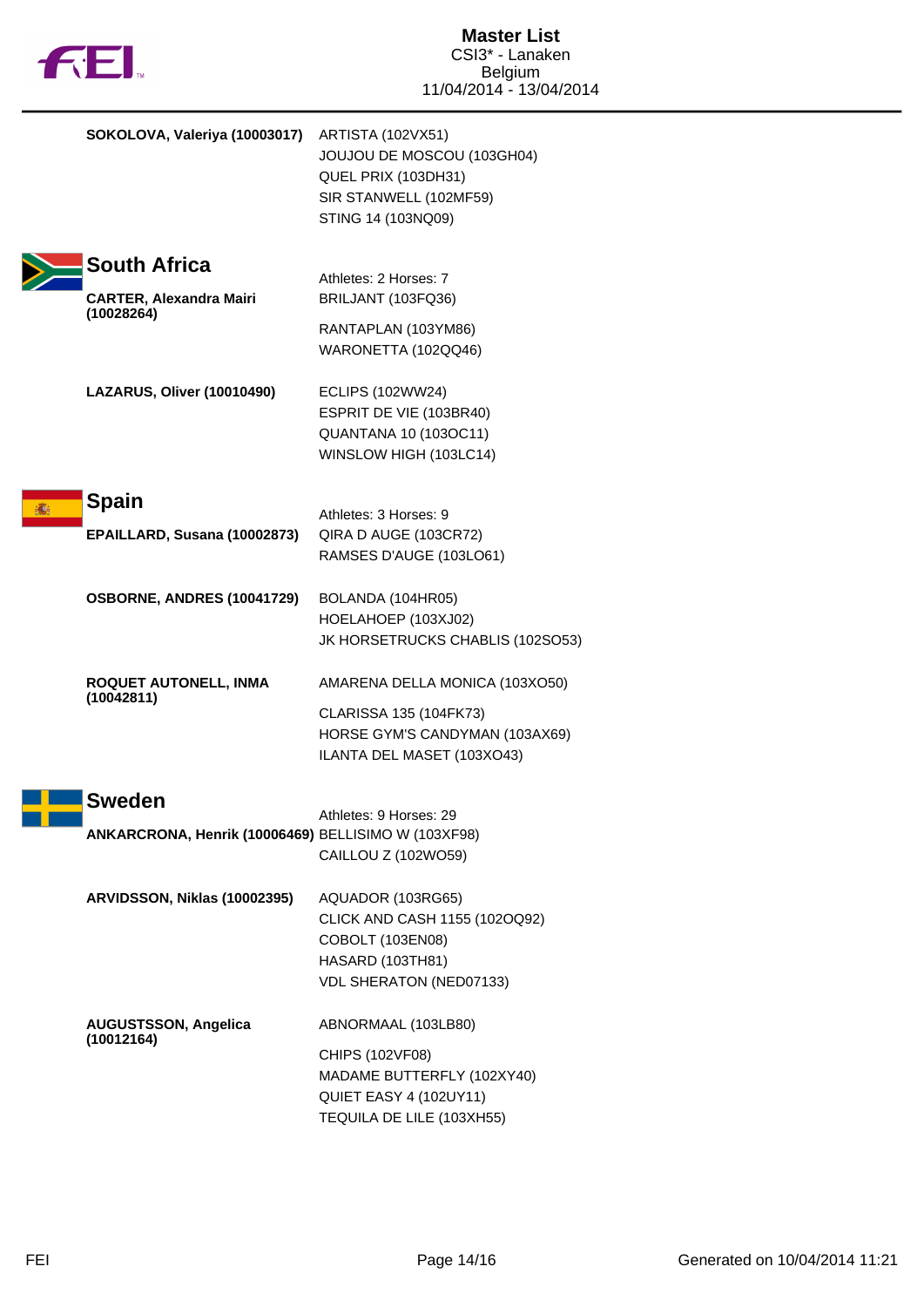|  | <b>12 EI</b>                                                         | <b>Master List</b><br>CSI3 <sup>*</sup> - Lanaken<br><b>Belgium</b><br>11/04/2014 - 13/04/2014                               |
|--|----------------------------------------------------------------------|------------------------------------------------------------------------------------------------------------------------------|
|  | SOKOLOVA, Valeriya (10003017)                                        | ARTISTA (102VX51)<br>JOUJOU DE MOSCOU (103GH04)<br>QUEL PRIX (103DH31)<br>SIR STANWELL (102MF59)<br>STING 14 (103NQ09)       |
|  | <b>South Africa</b><br><b>CARTER, Alexandra Mairi</b><br>(10028264)  | Athletes: 2 Horses: 7<br>BRILJANT (103FQ36)<br>RANTAPLAN (103YM86)<br>WARONETTA (102QQ46)                                    |
|  | LAZARUS, Oliver (10010490)                                           | <b>ECLIPS (102WW24)</b><br>ESPRIT DE VIE (103BR40)<br><b>QUANTANA 10 (103OC11)</b><br>WINSLOW HIGH (103LC14)                 |
|  | <b>Spain</b><br>EPAILLARD, Susana (10002873)                         | Athletes: 3 Horses: 9<br>QIRA D AUGE (103CR72)<br>RAMSES D'AUGE (103LO61)                                                    |
|  | OSBORNE, ANDRES (10041729)                                           | BOLANDA (104HR05)<br>HOELAHOEP (103XJ02)<br>JK HORSETRUCKS CHABLIS (102SO53)                                                 |
|  | ROQUET AUTONELL, INMA<br>(10042811)                                  | AMARENA DELLA MONICA (103XO50)<br>CLARISSA 135 (104FK73)<br>HORSE GYM'S CANDYMAN (103AX69)<br>ILANTA DEL MASET (103XO43)     |
|  | <b>Sweden</b><br>ANKARCRONA, Henrik (10006469) BELLISIMO W (103XF98) | Athletes: 9 Horses: 29<br>CAILLOU Z (102WO59)                                                                                |
|  | ARVIDSSON, Niklas (10002395)                                         | AQUADOR (103RG65)<br>CLICK AND CASH 1155 (102OQ92)<br>COBOLT (103EN08)<br><b>HASARD (103TH81)</b><br>VDL SHERATON (NED07133) |
|  | <b>AUGUSTSSON, Angelica</b><br>(10012164)                            | ABNORMAAL (103LB80)<br>CHIPS (102VF08)<br>MADAME BUTTERFLY (102XY40)<br>QUIET EASY 4 (102UY11)<br>TEQUILA DE LILE (103XH55)  |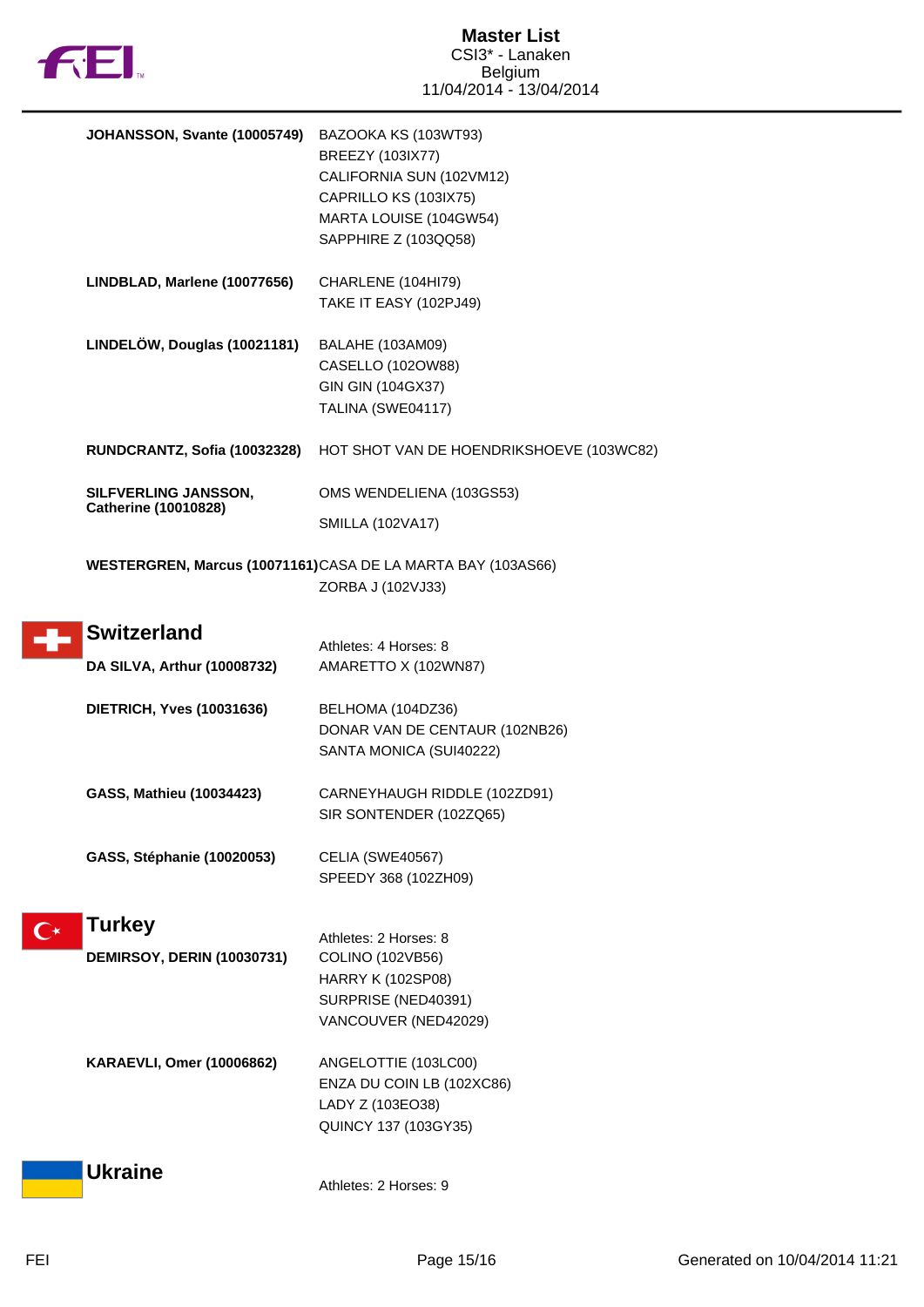

|                    | JOHANSSON, Svante (10005749)                        | BAZOOKA KS (103WT93)<br>BREEZY (103IX77)<br>CALIFORNIA SUN (102VM12)<br>CAPRILLO KS (103IX75)<br>MARTA LOUISE (104GW54)<br>SAPPHIRE Z (103QQ58) |
|--------------------|-----------------------------------------------------|-------------------------------------------------------------------------------------------------------------------------------------------------|
|                    | LINDBLAD, Marlene (10077656)                        | CHARLENE (104HI79)<br>TAKE IT EASY (102PJ49)                                                                                                    |
|                    | LINDELÖW, Douglas (10021181)                        | BALAHE (103AM09)<br>CASELLO (102OW88)<br>GIN GIN (104GX37)<br>TALINA (SWE04117)                                                                 |
|                    | RUNDCRANTZ, Sofia (10032328)                        | HOT SHOT VAN DE HOENDRIKSHOEVE (103WC82)                                                                                                        |
|                    | SILFVERLING JANSSON,<br><b>Catherine (10010828)</b> | OMS WENDELIENA (103GS53)                                                                                                                        |
|                    |                                                     | <b>SMILLA (102VA17)</b>                                                                                                                         |
|                    |                                                     | WESTERGREN, Marcus (10071161)CASA DE LA MARTA BAY (103AS66)<br>ZORBA J (102VJ33)                                                                |
|                    | <b>Switzerland</b>                                  | Athletes: 4 Horses: 8                                                                                                                           |
|                    | DA SILVA, Arthur (10008732)                         | AMARETTO X (102WN87)                                                                                                                            |
|                    | <b>DIETRICH, Yves (10031636)</b>                    | BELHOMA (104DZ36)<br>DONAR VAN DE CENTAUR (102NB26)<br>SANTA MONICA (SUI40222)                                                                  |
|                    | GASS, Mathieu (10034423)                            | CARNEYHAUGH RIDDLE (102ZD91)<br>SIR SONTENDER (102ZQ65)                                                                                         |
|                    | GASS, Stéphanie (10020053)                          | CELIA (SWE40567)<br>SPEEDY 368 (102ZH09)                                                                                                        |
| $\mathbb{C}^\star$ | <b>Turkey</b>                                       | Athletes: 2 Horses: 8                                                                                                                           |
|                    | <b>DEMIRSOY, DERIN (10030731)</b>                   | COLINO (102VB56)<br>HARRY K (102SP08)<br>SURPRISE (NED40391)<br>VANCOUVER (NED42029)                                                            |
|                    | <b>KARAEVLI, Omer (10006862)</b>                    | ANGELOTTIE (103LC00)<br>ENZA DU COIN LB (102XC86)<br>LADY Z (103EO38)<br>QUINCY 137 (103GY35)                                                   |
|                    | <b>Ukraine</b>                                      | Athletes: 2 Horses: 9                                                                                                                           |